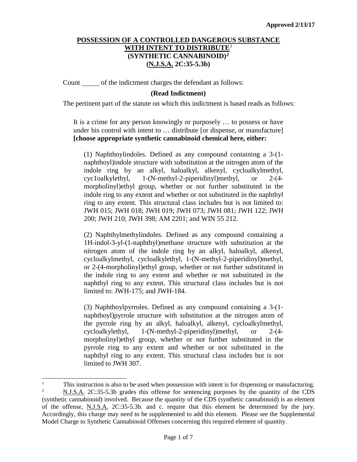Count of the indictment charges the defendant as follows:

## **(Read Indictment)**

The pertinent part of the statute on which this indictment is based reads as follows:

It is a crime for any person knowingly or purposely … to possess or have under his control with intent to … distribute [or dispense, or manufacture] **[choose appropriate synthetic cannabinoid chemical here, either:**

(1) Naphthoylindoles. Defined as any compound containing a 3-(1 naphthoyl)indole structure with substitution at the nitrogen atom of the indole ring by an alkyl, haloalkyl, alkenyl, cycloalkylmethyl, cyc1oalkylethyl, 1-(N-methyl-2-piperidinyl)methyl, or 2-(4 morpholinyl)ethyl group, whether or not further substituted in the indole ring to any extent and whether or not substituted in the naphthyl ring to any extent. This structural class includes but is not limited to: JWH 015; JWH 018; JWH 019; JWH 073; JWH 081; JWH 122; JWH 200; JWH 210; JWH 398; AM 2201; and WIN 55 212.

(2) Naphthylmethylindoles. Defined as any compound containing a 1H-indol-3-yl-(1-naphthyl)methane structure with substitution at the nitrogen atom of the indole ring by an alkyl, haloalkyl, alkenyl, cycloalkylmethyl, cycloalkylethyl, 1-(N-methyl-2-piperidinyl)methyl, or 2-(4-morpholinyl)ethyl group, whether or not further substituted in the indole ring to any extent and whether or not substituted in the naphthyl ring to any extent. This structural class includes but is not limited to: JWH-175; and JWH-184.

(3) Naphthoylpyrroles. Defined as any compound containing a 3-(1 naphthoyl)pyrrole structure with substitution at the nitrogen atom of the pyrrole ring by an alkyl, haloalkyl, alkenyl, cycloalkylmethyl, cycloalkylethyl, 1-(N-methyl-2-piperidinyl)methyl, or 2-(4 morpholinyl)ethyl group, whether or not further substituted in the pyrrole ring to any extent and whether or not substituted in the naphthyl ring to any extent. This structural class includes but is not limited to JWH 307.

<span id="page-0-1"></span><span id="page-0-0"></span><sup>|&</sup>lt;br>|<br>| This instruction is also to be used when possession with intent is for dispensing or manufacturing.<br> $\frac{2}{15}$  M J S A 2C:25.5.2b grades this offense for sontanging purposes by the quantity of the CDS. <sup>2</sup> N.J.S.A. 2C:35-5.3b grades this offense for sentencing purposes by the quantity of the CDS (synthetic cannabinoid) involved. Because the quantity of the CDS (synthetic cannabinoid) is an element of the offense, N.J.S.A. 2C:35-5.3b. and c. require that this element be determined by the jury. Accordingly, this charge may need to be supplemented to add this element. Please see the Supplemental Model Charge to Synthetic Cannabinoid Offenses concerning this required element of quantity.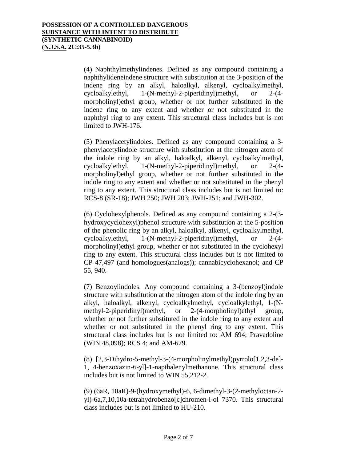(4) Naphthylmethylindenes. Defined as any compound containing a naphthylideneindene structure with substitution at the 3-position of the indene ring by an alkyl, haloalkyl, alkenyl, cycloalkylmethyl, cycloalkylethyl, 1-(N-methyl-2-piperidinyl)methyl, or 2-(4 morpholinyl)ethyl group, whether or not further substituted in the indene ring to any extent and whether or not substituted in the naphthyl ring to any extent. This structural class includes but is not limited to JWH-176.

(5) Phenylacetylindoles. Defined as any compound containing a 3 phenylacetylindole structure with substitution at the nitrogen atom of the indole ring by an alkyl, haloalkyl, alkenyl, cycloalkylmethyl, cycloalkylethyl, 1-(N-methyl-2-piperidinyl)methyl, or 2-(4 morpholinyl)ethyl group, whether or not further substituted in the indole ring to any extent and whether or not substituted in the phenyl ring to any extent. This structural class includes but is not limited to: RCS-8 (SR-18); JWH 250; JWH 203; JWH-251; and JWH-302.

(6) Cyclohexylphenols. Defined as any compound containing a 2-(3 hydroxycyclohexyl)phenol structure with substitution at the 5-position of the phenolic ring by an alkyl, haloalkyl, alkenyl, cycloalkylmethyl, cycloalkylethyl, 1-(N-methyl-2-piperidinyl)methyl, or 2-(4 morpholinyl)ethyl group, whether or not substituted in the cyclohexyl ring to any extent. This structural class includes but is not limited to CP 47,497 (and homologues(analogs)); cannabicyclohexanol; and CP 55, 940.

(7) Benzoylindoles. Any compound containing a 3-(benzoyl)indole structure with substitution at the nitrogen atom of the indole ring by an alkyl, haloalkyl, alkenyl, cycloalkylmethyl, cycloalkylethyl, 1-(Nmethyl-2-piperidinyl)methyl, or 2-(4-morpholinyl)ethyl group, whether or not further substituted in the indole ring to any extent and whether or not substituted in the phenyl ring to any extent. This structural class includes but is not limited to: AM 694; Pravadoline (WIN 48,098); RCS 4; and AM-679.

(8) [2,3-Dihydro-5-methyl-3-(4-morpholinylmethyl)pyrrolo[1,2,3-de]- 1, 4-benzoxazin-6-yl]-1-napthalenylmethanone. This structural class includes but is not limited to WIN 55,212-2.

(9) (6aR, 10aR)-9-(hydroxymethyl)-6, 6-dimethyl-3-(2-methyloctan-2 yl)-6a,7,10,10a-tetrahydrobenzo[c]chromen-l-ol 7370. This structural class includes but is not limited to HU-210.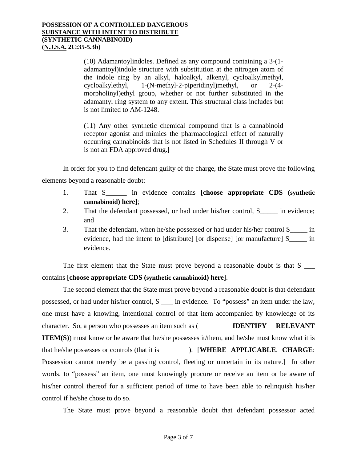(10) Adamantoylindoles. Defined as any compound containing a 3-(1 adamantoyl)indole structure with substitution at the nitrogen atom of the indole ring by an alkyl, haloalkyl, alkenyl, cycloalkylmethyl, cycloalkylethyl, 1-(N-methyl-2-piperidinyl)methyl, or 2-(4 morpholinyl)ethyl group, whether or not further substituted in the adamantyl ring system to any extent. This structural class includes but is not limited to AM-1248.

(11) Any other synthetic chemical compound that is a cannabinoid receptor agonist and mimics the pharmacological effect of naturally occurring cannabinoids that is not listed in Schedules II through V or is not an FDA approved drug.**]**

In order for you to find defendant guilty of the charge, the State must prove the following elements beyond a reasonable doubt:

- 1. That S\_\_\_\_\_\_ in evidence contains **[choose appropriate CDS (synthetic cannabinoid) here]**;
- 2. That the defendant possessed, or had under his/her control, S<sub>\_\_\_\_\_</sub> in evidence; and
- 3. That the defendant, when he/she possessed or had under his/her control S\_\_\_\_\_ in evidence, had the intent to [distribute] [or dispense] [or manufacture] S\_\_\_\_\_ in evidence.

The first element that the State must prove beyond a reasonable doubt is that S contains **[choose appropriate CDS (synthetic cannabinoid) here]**.

The second element that the State must prove beyond a reasonable doubt is that defendant possessed, or had under his/her control, S in evidence. To "possess" an item under the law, one must have a knowing, intentional control of that item accompanied by knowledge of its character. So, a person who possesses an item such as (**IDENTIFY RELEVANT ITEM(S)**) must know or be aware that he/she possesses it/them, and he/she must know what it is that he/she possesses or controls (that it is ). [**WHERE APPLICABLE**, **CHARGE**: Possession cannot merely be a passing control, fleeting or uncertain in its nature.] In other words, to "possess" an item, one must knowingly procure or receive an item or be aware of his/her control thereof for a sufficient period of time to have been able to relinquish his/her control if he/she chose to do so.

The State must prove beyond a reasonable doubt that defendant possessor acted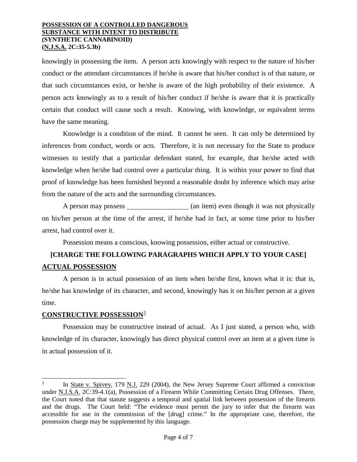knowingly in possessing the item. A person acts knowingly with respect to the nature of his/her conduct or the attendant circumstances if he/she is aware that his/her conduct is of that nature, or that such circumstances exist, or he/she is aware of the high probability of their existence. A person acts knowingly as to a result of his/her conduct if he/she is aware that it is practically certain that conduct will cause such a result. Knowing, with knowledge, or equivalent terms have the same meaning.

Knowledge is a condition of the mind. It cannot be seen. It can only be determined by inferences from conduct, words or acts. Therefore, it is not necessary for the State to produce witnesses to testify that a particular defendant stated, for example, that he/she acted with knowledge when he/she had control over a particular thing. It is within your power to find that proof of knowledge has been furnished beyond a reasonable doubt by inference which may arise from the nature of the acts and the surrounding circumstances.

A person may possess (an item) even though it was not physically on his/her person at the time of the arrest, if he/she had in fact, at some time prior to his/her arrest, had control over it.

Possession means a conscious, knowing possession, either actual or constructive.

# **[CHARGE THE FOLLOWING PARAGRAPHS WHICH APPLY TO YOUR CASE] ACTUAL POSSESSION**

A person is in actual possession of an item when he/she first, knows what it is: that is, he/she has knowledge of its character, and second, knowingly has it on his/her person at a given time.

# **CONSTRUCTIVE POSSESSION**[3](#page-3-0)

Possession may be constructive instead of actual. As I just stated, a person who, with knowledge of its character, knowingly has direct physical control over an item at a given time is in actual possession of it.

<span id="page-3-0"></span>In State v. Spivey, 179 N.J. 229 (2004), the New Jersey Supreme Court affirmed a conviction under N.J.S.A. 2C:39-4.1(a), Possession of a Firearm While Committing Certain Drug Offenses. There, the Court noted that that statute suggests a temporal and spatial link between possession of the firearm and the drugs. The Court held: "The evidence must permit the jury to infer that the firearm was accessible for use in the commission of the [drug] crime." In the appropriate case, therefore, the possession charge may be supplemented by this language.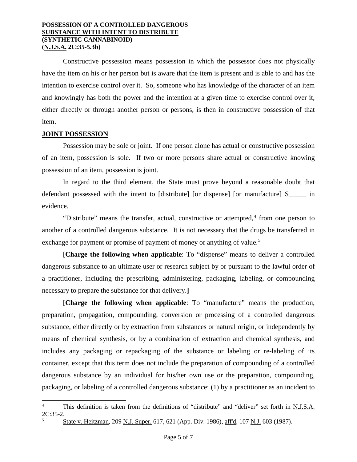Constructive possession means possession in which the possessor does not physically have the item on his or her person but is aware that the item is present and is able to and has the intention to exercise control over it. So, someone who has knowledge of the character of an item and knowingly has both the power and the intention at a given time to exercise control over it, either directly or through another person or persons, is then in constructive possession of that item.

## **JOINT POSSESSION**

Possession may be sole or joint. If one person alone has actual or constructive possession of an item, possession is sole. If two or more persons share actual or constructive knowing possession of an item, possession is joint.

In regard to the third element, the State must prove beyond a reasonable doubt that defendant possessed with the intent to [distribute] [or dispense] [or manufacture] S\_\_\_\_\_ in evidence.

"Distribute" means the transfer, actual, constructive or attempted, $4$  from one person to another of a controlled dangerous substance. It is not necessary that the drugs be transferred in exchange for payment or promise of payment of money or anything of value.<sup>[5](#page-4-1)</sup>

**[Charge the following when applicable**: To "dispense" means to deliver a controlled dangerous substance to an ultimate user or research subject by or pursuant to the lawful order of a practitioner, including the prescribing, administering, packaging, labeling, or compounding necessary to prepare the substance for that delivery.**]**

**[Charge the following when applicable**: To "manufacture" means the production, preparation, propagation, compounding, conversion or processing of a controlled dangerous substance, either directly or by extraction from substances or natural origin, or independently by means of chemical synthesis, or by a combination of extraction and chemical synthesis, and includes any packaging or repackaging of the substance or labeling or re-labeling of its container, except that this term does not include the preparation of compounding of a controlled dangerous substance by an individual for his/her own use or the preparation, compounding, packaging, or labeling of a controlled dangerous substance: (1) by a practitioner as an incident to

<span id="page-4-1"></span><span id="page-4-0"></span>This definition is taken from the definitions of "distribute" and "deliver" set forth in N.J.S.A. 2C:35-2.

<sup>5</sup> State v. Heitzman, 209 N.J. Super. 617, 621 (App. Div. 1986), aff'd, 107 N.J. 603 (1987).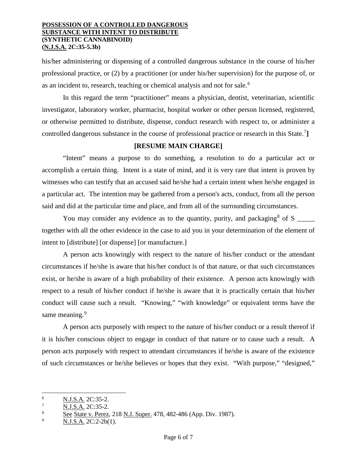his/her administering or dispensing of a controlled dangerous substance in the course of his/her professional practice, or (2) by a practitioner (or under his/her supervision) for the purpose of, or as an incident to, research, teaching or chemical analysis and not for sale.<sup>[6](#page-5-0)</sup>

In this regard the term "practitioner" means a physician, dentist, veterinarian, scientific investigator, laboratory worker, pharmacist, hospital worker or other person licensed, registered, or otherwise permitted to distribute, dispense, conduct research with respect to, or administer a controlled dangerous substance in the course of professional practice or research in this State.<sup>[7](#page-5-1)</sup>]

## **[RESUME MAIN CHARGE]**

"Intent" means a purpose to do something, a resolution to do a particular act or accomplish a certain thing. Intent is a state of mind, and it is very rare that intent is proven by witnesses who can testify that an accused said he/she had a certain intent when he/she engaged in a particular act. The intention may be gathered from a person's acts, conduct, from all the person said and did at the particular time and place, and from all of the surrounding circumstances.

You may consider any evidence as to the quantity, purity, and packaging  $\delta$  of S  $\frac{1}{\epsilon}$ together with all the other evidence in the case to aid you in your determination of the element of intent to [distribute] [or dispense] [or manufacture.]

A person acts knowingly with respect to the nature of his/her conduct or the attendant circumstances if he/she is aware that his/her conduct is of that nature, or that such circumstances exist, or he/she is aware of a high probability of their existence. A person acts knowingly with respect to a result of his/her conduct if he/she is aware that it is practically certain that his/her conduct will cause such a result. "Knowing," "with knowledge" or equivalent terms have the same meaning.<sup>[9](#page-5-3)</sup>

A person acts purposely with respect to the nature of his/her conduct or a result thereof if it is his/her conscious object to engage in conduct of that nature or to cause such a result. A person acts purposely with respect to attendant circumstances if he/she is aware of the existence of such circumstances or he/she believes or hopes that they exist. "With purpose," "designed,"

<span id="page-5-0"></span> $\frac{6}{7}$  N.J.S.A. 2C:35-2.

<span id="page-5-1"></span> $\frac{7}{8}$  N.J.S.A. 2C:35-2.

<span id="page-5-2"></span> $\frac{8}{9}$  See State v. Perez, 218 N.J. Super. 478, 482-486 (App. Div. 1987).

<span id="page-5-3"></span>N.J.S.A. 2C:2-2b(1).